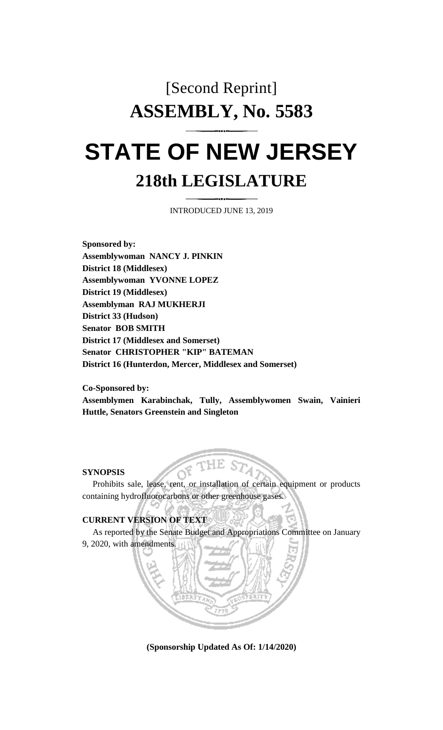# [Second Reprint] **ASSEMBLY, No. 5583 STATE OF NEW JERSEY**

# **218th LEGISLATURE**

INTRODUCED JUNE 13, 2019

**Sponsored by: Assemblywoman NANCY J. PINKIN District 18 (Middlesex) Assemblywoman YVONNE LOPEZ District 19 (Middlesex) Assemblyman RAJ MUKHERJI District 33 (Hudson) Senator BOB SMITH District 17 (Middlesex and Somerset) Senator CHRISTOPHER "KIP" BATEMAN District 16 (Hunterdon, Mercer, Middlesex and Somerset)**

**Co-Sponsored by:**

**Assemblymen Karabinchak, Tully, Assemblywomen Swain, Vainieri Huttle, Senators Greenstein and Singleton**

#### **SYNOPSIS**

Prohibits sale, lease, rent, or installation of certain equipment or products containing hydrofluorocarbons or other greenhouse gases.

#### **CURRENT VERSION OF TEXT**

As reported by the Senate Budget and Appropriations Committee on January 9, 2020, with amendments.



**(Sponsorship Updated As Of: 1/14/2020)**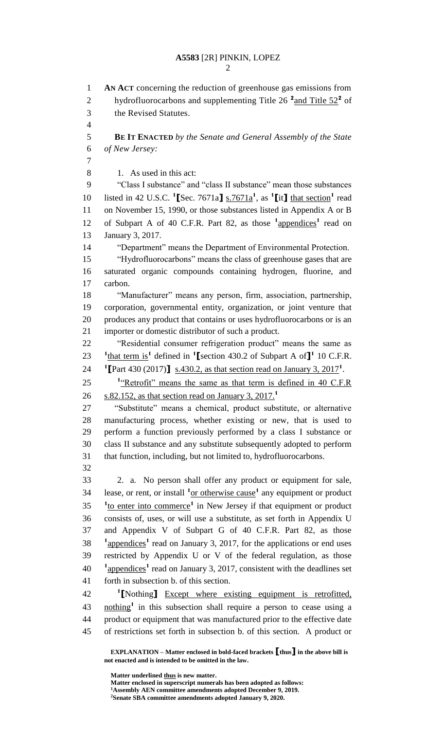## **A5583** [2R] PINKIN, LOPEZ

| I |
|---|
|   |

 **AN ACT** concerning the reduction of greenhouse gas emissions from 2 hydrofluorocarbons and supplementing Title 26<sup>2</sup> and Title 52<sup>2</sup> of the Revised Statutes. **BE IT ENACTED** *by the Senate and General Assembly of the State of New Jersey:* 1. As used in this act: "Class I substance" and "class II substance" mean those substances 10 listed in 42 U.S.C.  $^1$ **[**Sec. 7671a**]** s. 7671a<sup> $^1$ </sup>, as  $^1$ **[it]** that section<sup>1</sup> read on November 15, 1990, or those substances listed in Appendix A or B 12 of Subpart A of 40 C.F.R. Part 82, as those <sup>1</sup>appendices<sup>1</sup> read on January 3, 2017. "Department" means the Department of Environmental Protection. "Hydrofluorocarbons" means the class of greenhouse gases that are saturated organic compounds containing hydrogen, fluorine, and carbon. "Manufacturer" means any person, firm, association, partnership, corporation, governmental entity, organization, or joint venture that produces any product that contains or uses hydrofluorocarbons or is an importer or domestic distributor of such a product. "Residential consumer refrigeration product" means the same as <sup>1</sup>**that term is**<sup>1</sup> defined in <sup>1</sup> [section 430.2 of Subpart A of ]<sup>1</sup> 10 C.F.R. **[**Part 430 (2017)**]** s.430.2, as that section read on January 3, 2017**<sup>1</sup>** . 25 <sup>1</sup> Retrofit" means the same as that term is defined in 40 C.F.R s.82.152, as that section read on January 3, 2017.**<sup>1</sup>** "Substitute" means a chemical, product substitute, or alternative manufacturing process, whether existing or new, that is used to perform a function previously performed by a class I substance or class II substance and any substitute subsequently adopted to perform that function, including, but not limited to, hydrofluorocarbons. 2. a. No person shall offer any product or equipment for sale, lease, or rent, or install **<sup>1</sup>** or otherwise cause**<sup>1</sup>** any equipment or product <sup>1</sup>to enter into commerce<sup>1</sup> in New Jersey if that equipment or product consists of, uses, or will use a substitute, as set forth in Appendix U and Appendix V of Subpart G of 40 C.F.R. Part 82, as those <sup>1</sup> appendices<sup>1</sup> read on January 3, 2017, for the applications or end uses restricted by Appendix U or V of the federal regulation, as those <sup>1</sup>
appendices<sup>1</sup> read on January 3, 2017, consistent with the deadlines set forth in subsection b. of this section. **[**Nothing**]** Except where existing equipment is retrofitted, **nothing<sup>1</sup>** in this subsection shall require a person to cease using a product or equipment that was manufactured prior to the effective date of restrictions set forth in subsection b. of this section. A product or

**EXPLANATION – Matter enclosed in bold-faced brackets [thus] in the above bill is not enacted and is intended to be omitted in the law.**

**Matter underlined thus is new matter. Matter enclosed in superscript numerals has been adopted as follows: Assembly AEN committee amendments adopted December 9, 2019. Senate SBA committee amendments adopted January 9, 2020.**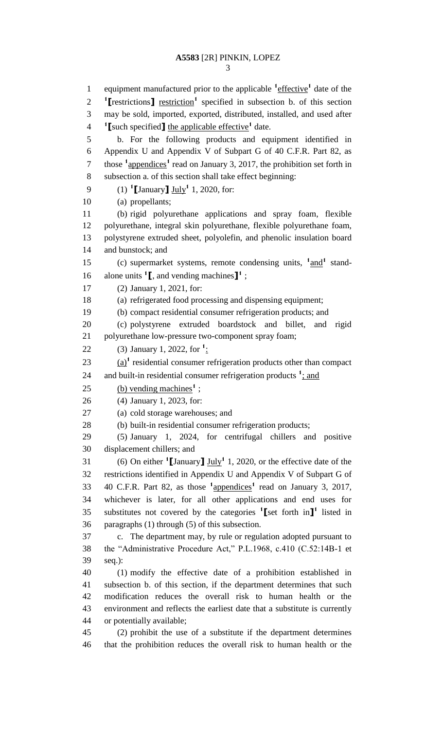## **A5583** [2R] PINKIN, LOPEZ

1 equipment manufactured prior to the applicable <sup>1</sup>effective<sup>1</sup> date of the **[**restrictions**]** restriction<sup>1</sup> specified in subsection b. of this section may be sold, imported, exported, distributed, installed, and used after <sup>1</sup> [such specified] the applicable effective<sup>1</sup> date. b. For the following products and equipment identified in Appendix U and Appendix V of Subpart G of 40 C.F.R. Part 82, as 7 those <sup>1</sup><sub>4</sub> appendices<sup>1</sup> read on January 3, 2017, the prohibition set forth in subsection a. of this section shall take effect beginning: (1) **<sup>1</sup> [**January**]** July**<sup>1</sup>** 1, 2020, for: (a) propellants; (b) rigid polyurethane applications and spray foam, flexible polyurethane, integral skin polyurethane, flexible polyurethane foam, polystyrene extruded sheet, polyolefin, and phenolic insulation board and bunstock; and 15 (c) supermarket systems, remote condensing units,  $\frac{1 \text{ and } 1}{2}$  standalone units **<sup>1</sup> [**, and vending machines**] 1** ; (2) January 1, 2021, for: (a) refrigerated food processing and dispensing equipment; (b) compact residential consumer refrigeration products; and (c) polystyrene extruded boardstock and billet, and rigid polyurethane low-pressure two-component spray foam; 22 (3) January 1, 2022, for <sup>1</sup>:  $\frac{(a)^{1}}{23}$  residential consumer refrigeration products other than compact 24 and built-in residential consumer refrigeration products <sup>1</sup>; and 25 (b) vending machines<sup>1</sup>; (4) January 1, 2023, for: (a) cold storage warehouses; and (b) built-in residential consumer refrigeration products; (5) January 1, 2024, for centrifugal chillers and positive displacement chillers; and 31 (6) On either  $\textbf{1}$  **[January**]  $\underline{\textbf{July}}$ <sup>1</sup> 1, 2020, or the effective date of the restrictions identified in Appendix U and Appendix V of Subpart G of 40 C.F.R. Part 82, as those **<sup>1</sup>** appendices**<sup>1</sup>** read on January 3, 2017, whichever is later, for all other applications and end uses for 35 substitutes not covered by the categories <sup>1</sup>[set forth in]<sup>1</sup> listed in paragraphs (1) through (5) of this subsection. c. The department may, by rule or regulation adopted pursuant to the "Administrative Procedure Act," P.L.1968, c.410 (C.52:14B-1 et seq.): (1) modify the effective date of a prohibition established in subsection b. of this section, if the department determines that such modification reduces the overall risk to human health or the environment and reflects the earliest date that a substitute is currently or potentially available; (2) prohibit the use of a substitute if the department determines that the prohibition reduces the overall risk to human health or the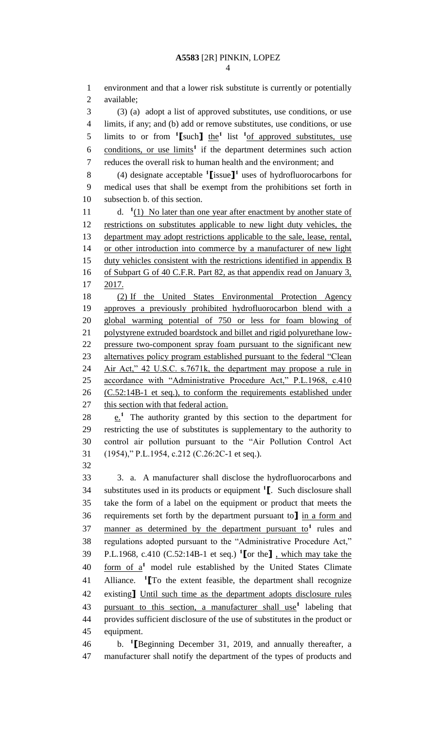environment and that a lower risk substitute is currently or potentially available; (3) (a) adopt a list of approved substitutes, use conditions, or use limits, if any; and (b) add or remove substitutes, use conditions, or use 5 limits to or from  $\frac{1}{\pi}$  [such] the<sup>1</sup> list  $\frac{1}{\pi}$  of approved substitutes, use 6 conditions, or use limits<sup>1</sup> if the department determines such action reduces the overall risk to human health and the environment; and (4) designate acceptable **<sup>1</sup> [**issue**] 1** uses of hydrofluorocarbons for medical uses that shall be exempt from the prohibitions set forth in subsection b. of this section. 11 d. <sup>1</sup>(1) No later than one year after enactment by another state of restrictions on substitutes applicable to new light duty vehicles, the department may adopt restrictions applicable to the sale, lease, rental, or other introduction into commerce by a manufacturer of new light 15 duty vehicles consistent with the restrictions identified in appendix B 16 of Subpart G of 40 C.F.R. Part 82, as that appendix read on January 3, 2017. (2) If the United States Environmental Protection Agency approves a previously prohibited hydrofluorocarbon blend with a global warming potential of 750 or less for foam blowing of polystyrene extruded boardstock and billet and rigid polyurethane low- pressure two-component spray foam pursuant to the significant new 23 alternatives policy program established pursuant to the federal "Clean Air Act," 42 U.S.C. s.7671k, the department may propose a rule in accordance with "Administrative Procedure Act," P.L.1968, c.410 26 (C.52:14B-1 et seq.), to conform the requirements established under 27 this section with that federal action.  $\cdot$   $\cdot$   $\cdot$  The authority granted by this section to the department for restricting the use of substitutes is supplementary to the authority to control air pollution pursuant to the "Air Pollution Control Act (1954)," P.L.1954, c.212 (C.26:2C-1 et seq.). 

 3. a. A manufacturer shall disclose the hydrofluorocarbons and substitutes used in its products or equipment **<sup>1</sup> [**. Such disclosure shall take the form of a label on the equipment or product that meets the requirements set forth by the department pursuant to**]** in a form and 37 manner as determined by the department pursuant  $\omega^1$  rules and regulations adopted pursuant to the "Administrative Procedure Act," P.L.1968, c.410 (C.52:14B-1 et seq.) **<sup>1</sup> [**or the**]** , which may take the 40 form of a<sup>1</sup> model rule established by the United States Climate Alliance. **<sup>1</sup> [**To the extent feasible, the department shall recognize existing**]** Until such time as the department adopts disclosure rules pursuant to this section, a manufacturer shall use**<sup>1</sup>** labeling that provides sufficient disclosure of the use of substitutes in the product or equipment.

b. **<sup>1</sup> [**Beginning December 31, 2019, and annually thereafter, a manufacturer shall notify the department of the types of products and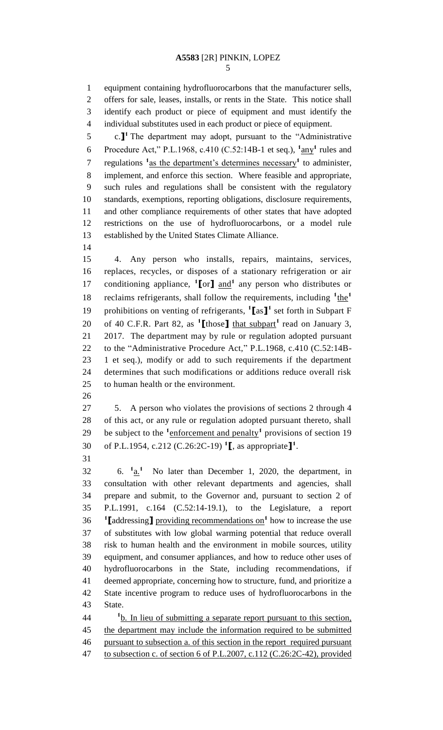equipment containing hydrofluorocarbons that the manufacturer sells, offers for sale, leases, installs, or rents in the State. This notice shall identify each product or piece of equipment and must identify the individual substitutes used in each product or piece of equipment.

 $\therefore$  **1**<sup>1</sup> The department may adopt, pursuant to the "Administrative" 6 Procedure Act," P.L.1968, c.410 (C.52:14B-1 et seq.),  $1_{\text{any}}$ <sup>1</sup> rules and 7 regulations <sup>1</sup> as the department's determines necessary<sup>1</sup> to administer, implement, and enforce this section. Where feasible and appropriate, such rules and regulations shall be consistent with the regulatory standards, exemptions, reporting obligations, disclosure requirements, and other compliance requirements of other states that have adopted restrictions on the use of hydrofluorocarbons, or a model rule established by the United States Climate Alliance.

 4. Any person who installs, repairs, maintains, services, replaces, recycles, or disposes of a stationary refrigeration or air 17 conditioning appliance, <sup>1</sup>[or] and<sup>1</sup> any person who distributes or reclaims refrigerants, shall follow the requirements, including  $\frac{1_{\text{the}}}{1_{\text{the}}}$  19 prohibitions on venting of refrigerants, <sup>1</sup>[as]<sup>1</sup> set forth in Subpart F 20 of 40 C.F.R. Part 82, as <sup>1</sup>[those] that subpart<sup>1</sup> read on January 3, 2017. The department may by rule or regulation adopted pursuant to the "Administrative Procedure Act," P.L.1968, c.410 (C.52:14B- 1 et seq.), modify or add to such requirements if the department determines that such modifications or additions reduce overall risk to human health or the environment.

 5. A person who violates the provisions of sections 2 through 4 of this act, or any rule or regulation adopted pursuant thereto, shall 29 be subject to the <sup>1</sup> enforcement and penalty<sup>1</sup> provisions of section 19 of P.L.1954, c.212 (C.26:2C-19) **<sup>1</sup> [**, as appropriate**] 1** .

6. **<sup>1</sup>** a.**1** 6.  $1a$ , No later than December 1, 2020, the department, in consultation with other relevant departments and agencies, shall prepare and submit, to the Governor and, pursuant to section 2 of P.L.1991, c.164 (C.52:14-19.1), to the Legislature, a report **[**addressing**]** providing recommendations on<sup>1</sup> how to increase the use of substitutes with low global warming potential that reduce overall risk to human health and the environment in mobile sources, utility equipment, and consumer appliances, and how to reduce other uses of hydrofluorocarbons in the State, including recommendations, if deemed appropriate, concerning how to structure, fund, and prioritize a State incentive program to reduce uses of hydrofluorocarbons in the State.

<sup>1</sup>**b.** In lieu of submitting a separate report pursuant to this section, the department may include the information required to be submitted pursuant to subsection a. of this section in the report required pursuant to subsection c. of section 6 of P.L.2007, c.112 (C.26:2C-42), provided